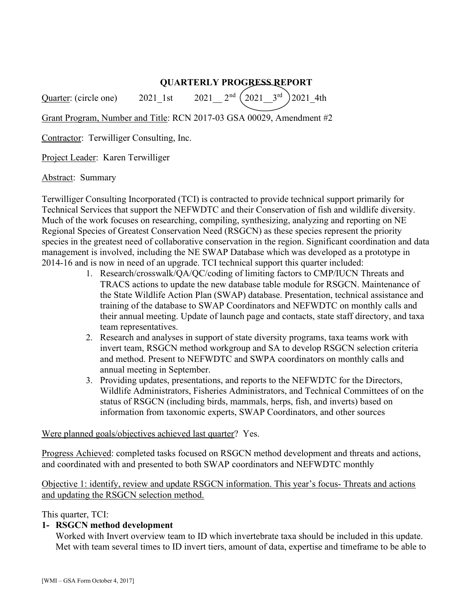# QUARTERLY PROGRESS REPORT

Quarter: (circle one) 2021 1st 2021  $2^{nd}$   $\left( 2021 \ 3^{rd} \right)$  2021 4th

Grant Program, Number and Title: RCN 2017-03 GSA 00029, Amendment #2

Contractor: Terwilliger Consulting, Inc.

Project Leader: Karen Terwilliger

Abstract: Summary

Terwilliger Consulting Incorporated (TCI) is contracted to provide technical support primarily for Technical Services that support the NEFWDTC and their Conservation of fish and wildlife diversity. Much of the work focuses on researching, compiling, synthesizing, analyzing and reporting on NE Regional Species of Greatest Conservation Need (RSGCN) as these species represent the priority species in the greatest need of collaborative conservation in the region. Significant coordination and data management is involved, including the NE SWAP Database which was developed as a prototype in 2014-16 and is now in need of an upgrade. TCI technical support this quarter included:

- 1. Research/crosswalk/QA/QC/coding of limiting factors to CMP/IUCN Threats and TRACS actions to update the new database table module for RSGCN. Maintenance of the State Wildlife Action Plan (SWAP) database. Presentation, technical assistance and training of the database to SWAP Coordinators and NEFWDTC on monthly calls and their annual meeting. Update of launch page and contacts, state staff directory, and taxa team representatives.
- 2. Research and analyses in support of state diversity programs, taxa teams work with invert team, RSGCN method workgroup and SA to develop RSGCN selection criteria and method. Present to NEFWDTC and SWPA coordinators on monthly calls and annual meeting in September.
- 3. Providing updates, presentations, and reports to the NEFWDTC for the Directors, Wildlife Administrators, Fisheries Administrators, and Technical Committees of on the status of RSGCN (including birds, mammals, herps, fish, and inverts) based on information from taxonomic experts, SWAP Coordinators, and other sources

#### Were planned goals/objectives achieved last quarter? Yes.

Progress Achieved: completed tasks focused on RSGCN method development and threats and actions, and coordinated with and presented to both SWAP coordinators and NEFWDTC monthly

Objective 1: identify, review and update RSGCN information. This year's focus- Threats and actions and updating the RSGCN selection method.

This quarter, TCI:

## 1- RSGCN method development

Worked with Invert overview team to ID which invertebrate taxa should be included in this update. Met with team several times to ID invert tiers, amount of data, expertise and timeframe to be able to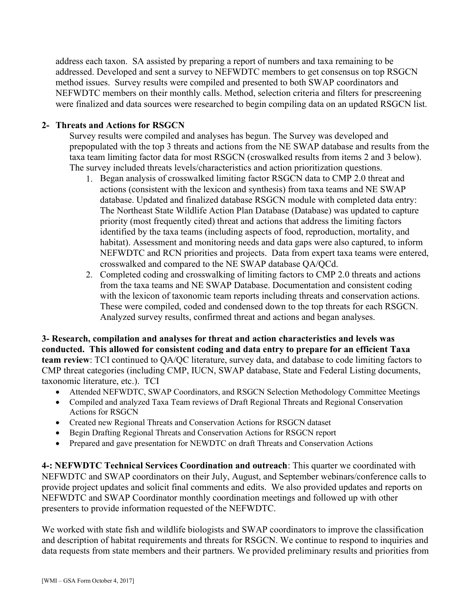address each taxon. SA assisted by preparing a report of numbers and taxa remaining to be addressed. Developed and sent a survey to NEFWDTC members to get consensus on top RSGCN method issues. Survey results were compiled and presented to both SWAP coordinators and NEFWDTC members on their monthly calls. Method, selection criteria and filters for prescreening were finalized and data sources were researched to begin compiling data on an updated RSGCN list.

### 2- Threats and Actions for RSGCN

Survey results were compiled and analyses has begun. The Survey was developed and prepopulated with the top 3 threats and actions from the NE SWAP database and results from the taxa team limiting factor data for most RSGCN (croswalked results from items 2 and 3 below). The survey included threats levels/characteristics and action prioritization questions.

- 1. Began analysis of crosswalked limiting factor RSGCN data to CMP 2.0 threat and actions (consistent with the lexicon and synthesis) from taxa teams and NE SWAP database. Updated and finalized database RSGCN module with completed data entry: The Northeast State Wildlife Action Plan Database (Database) was updated to capture priority (most frequently cited) threat and actions that address the limiting factors identified by the taxa teams (including aspects of food, reproduction, mortality, and habitat). Assessment and monitoring needs and data gaps were also captured, to inform NEFWDTC and RCN priorities and projects. Data from expert taxa teams were entered, crosswalked and compared to the NE SWAP database QA/QCd.
- 2. Completed coding and crosswalking of limiting factors to CMP 2.0 threats and actions from the taxa teams and NE SWAP Database. Documentation and consistent coding with the lexicon of taxonomic team reports including threats and conservation actions. These were compiled, coded and condensed down to the top threats for each RSGCN. Analyzed survey results, confirmed threat and actions and began analyses.

3- Research, compilation and analyses for threat and action characteristics and levels was conducted. This allowed for consistent coding and data entry to prepare for an efficient Taxa team review: TCI continued to QA/QC literature, survey data, and database to code limiting factors to CMP threat categories (including CMP, IUCN, SWAP database, State and Federal Listing documents, taxonomic literature, etc.). TCI

- Attended NEFWDTC, SWAP Coordinators, and RSGCN Selection Methodology Committee Meetings
- Compiled and analyzed Taxa Team reviews of Draft Regional Threats and Regional Conservation Actions for RSGCN
- Created new Regional Threats and Conservation Actions for RSGCN dataset
- Begin Drafting Regional Threats and Conservation Actions for RSGCN report
- Prepared and gave presentation for NEWDTC on draft Threats and Conservation Actions

4-: NEFWDTC Technical Services Coordination and outreach: This quarter we coordinated with NEFWDTC and SWAP coordinators on their July, August, and September webinars/conference calls to provide project updates and solicit final comments and edits. We also provided updates and reports on NEFWDTC and SWAP Coordinator monthly coordination meetings and followed up with other presenters to provide information requested of the NEFWDTC.

We worked with state fish and wildlife biologists and SWAP coordinators to improve the classification and description of habitat requirements and threats for RSGCN. We continue to respond to inquiries and data requests from state members and their partners. We provided preliminary results and priorities from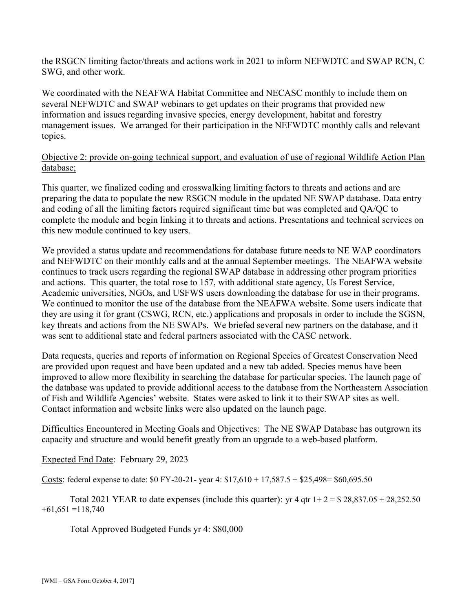the RSGCN limiting factor/threats and actions work in 2021 to inform NEFWDTC and SWAP RCN, C SWG, and other work.

We coordinated with the NEAFWA Habitat Committee and NECASC monthly to include them on several NEFWDTC and SWAP webinars to get updates on their programs that provided new information and issues regarding invasive species, energy development, habitat and forestry management issues. We arranged for their participation in the NEFWDTC monthly calls and relevant topics.

## Objective 2: provide on-going technical support, and evaluation of use of regional Wildlife Action Plan database;

This quarter, we finalized coding and crosswalking limiting factors to threats and actions and are preparing the data to populate the new RSGCN module in the updated NE SWAP database. Data entry and coding of all the limiting factors required significant time but was completed and QA/QC to complete the module and begin linking it to threats and actions. Presentations and technical services on this new module continued to key users.

We provided a status update and recommendations for database future needs to NE WAP coordinators and NEFWDTC on their monthly calls and at the annual September meetings. The NEAFWA website continues to track users regarding the regional SWAP database in addressing other program priorities and actions. This quarter, the total rose to 157, with additional state agency, Us Forest Service, Academic universities, NGOs, and USFWS users downloading the database for use in their programs. We continued to monitor the use of the database from the NEAFWA website. Some users indicate that they are using it for grant (CSWG, RCN, etc.) applications and proposals in order to include the SGSN, key threats and actions from the NE SWAPs. We briefed several new partners on the database, and it was sent to additional state and federal partners associated with the CASC network.

Data requests, queries and reports of information on Regional Species of Greatest Conservation Need are provided upon request and have been updated and a new tab added. Species menus have been improved to allow more flexibility in searching the database for particular species. The launch page of the database was updated to provide additional access to the database from the Northeastern Association of Fish and Wildlife Agencies' website. States were asked to link it to their SWAP sites as well. Contact information and website links were also updated on the launch page.

Difficulties Encountered in Meeting Goals and Objectives: The NE SWAP Database has outgrown its capacity and structure and would benefit greatly from an upgrade to a web-based platform.

Expected End Date: February 29, 2023

Costs: federal expense to date: \$0 FY-20-21- year 4: \$17,610 + 17,587.5 + \$25,498= \$60,695.50

Total 2021 YEAR to date expenses (include this quarter): yr 4 qtr  $1+2 = $28,837.05 + 28,252.50$  $+61,651 = 118,740$ 

Total Approved Budgeted Funds yr 4: \$80,000